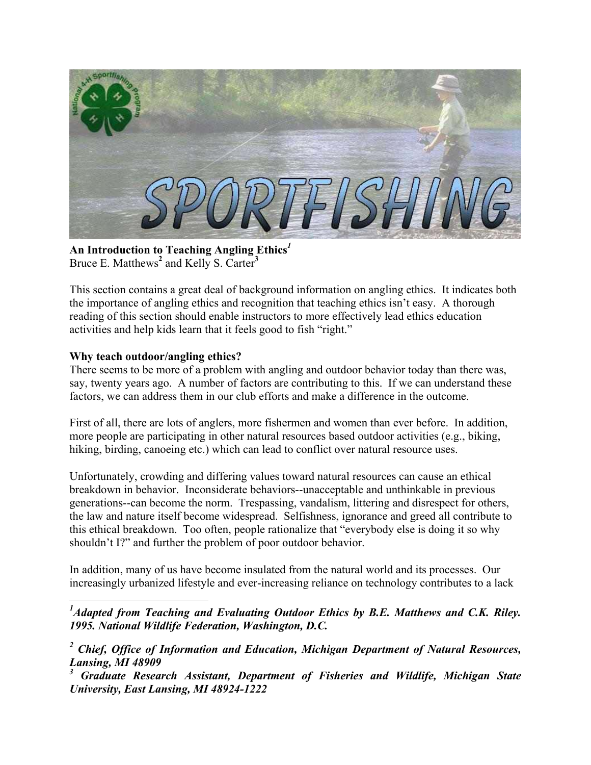

**An Introduction to Teaching Angling Ethics***[1](#page-0-0)* Bruce E. Matthews<sup>[2](#page-0-1)</sup> and Kelly S. Carter<sup>[3](#page-0-2)</sup>

This section contains a great deal of background information on angling ethics. It indicates both the importance of angling ethics and recognition that teaching ethics isn't easy. A thorough reading of this section should enable instructors to more effectively lead ethics education activities and help kids learn that it feels good to fish "right."

### **Why teach outdoor/angling ethics?**

There seems to be more of a problem with angling and outdoor behavior today than there was, say, twenty years ago. A number of factors are contributing to this. If we can understand these factors, we can address them in our club efforts and make a difference in the outcome.

First of all, there are lots of anglers, more fishermen and women than ever before. In addition, more people are participating in other natural resources based outdoor activities (e.g., biking, hiking, birding, canoeing etc.) which can lead to conflict over natural resource uses.

Unfortunately, crowding and differing values toward natural resources can cause an ethical breakdown in behavior. Inconsiderate behaviors--unacceptable and unthinkable in previous generations--can become the norm. Trespassing, vandalism, littering and disrespect for others, the law and nature itself become widespread. Selfishness, ignorance and greed all contribute to this ethical breakdown. Too often, people rationalize that "everybody else is doing it so why shouldn't I?" and further the problem of poor outdoor behavior.

In addition, many of us have become insulated from the natural world and its processes. Our increasingly urbanized lifestyle and ever-increasing reliance on technology contributes to a lack

<span id="page-0-0"></span> $\overline{a}$ <sup>1</sup> Adapted from Teaching and Evaluating Outdoor Ethics by B.E. Matthews and C.K. Riley. *1995. National Wildlife Federation, Washington, D.C.* 

<span id="page-0-1"></span><sup>&</sup>lt;sup>2</sup> Chief, Office of Information and Education, Michigan Department of Natural Resources, *Lansing, MI 48909* 

<span id="page-0-2"></span>*<sup>3</sup> Graduate Research Assistant, Department of Fisheries and Wildlife, Michigan State University, East Lansing, MI 48924-1222*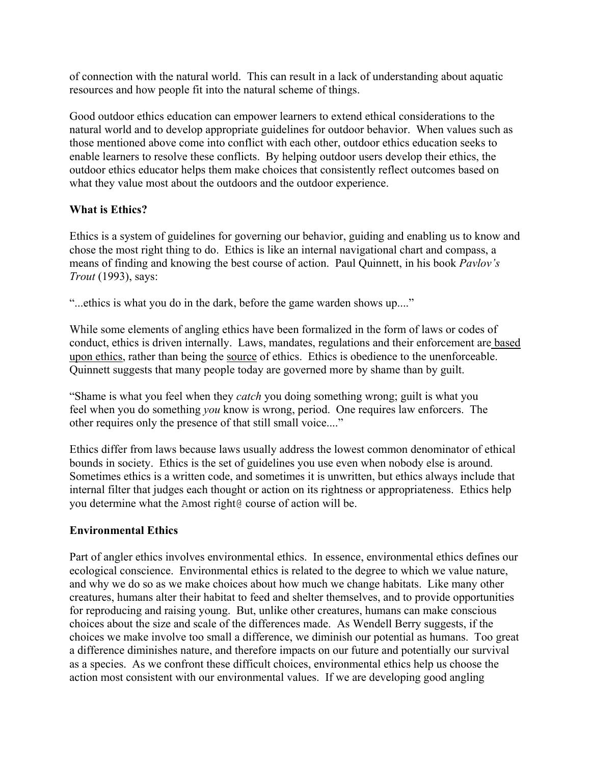of connection with the natural world. This can result in a lack of understanding about aquatic resources and how people fit into the natural scheme of things.

Good outdoor ethics education can empower learners to extend ethical considerations to the natural world and to develop appropriate guidelines for outdoor behavior. When values such as those mentioned above come into conflict with each other, outdoor ethics education seeks to enable learners to resolve these conflicts. By helping outdoor users develop their ethics, the outdoor ethics educator helps them make choices that consistently reflect outcomes based on what they value most about the outdoors and the outdoor experience.

### **What is Ethics?**

Ethics is a system of guidelines for governing our behavior, guiding and enabling us to know and chose the most right thing to do. Ethics is like an internal navigational chart and compass, a means of finding and knowing the best course of action. Paul Quinnett, in his book *Pavlov's Trout* (1993), says:

"...ethics is what you do in the dark, before the game warden shows up...."

While some elements of angling ethics have been formalized in the form of laws or codes of conduct, ethics is driven internally. Laws, mandates, regulations and their enforcement are based upon ethics, rather than being the source of ethics. Ethics is obedience to the unenforceable. Quinnett suggests that many people today are governed more by shame than by guilt.

"Shame is what you feel when they *catch* you doing something wrong; guilt is what you feel when you do something *you* know is wrong, period. One requires law enforcers. The other requires only the presence of that still small voice...."

Ethics differ from laws because laws usually address the lowest common denominator of ethical bounds in society. Ethics is the set of guidelines you use even when nobody else is around. Sometimes ethics is a written code, and sometimes it is unwritten, but ethics always include that internal filter that judges each thought or action on its rightness or appropriateness. Ethics help you determine what the Amost right@ course of action will be.

#### **Environmental Ethics**

Part of angler ethics involves environmental ethics. In essence, environmental ethics defines our ecological conscience. Environmental ethics is related to the degree to which we value nature, and why we do so as we make choices about how much we change habitats. Like many other creatures, humans alter their habitat to feed and shelter themselves, and to provide opportunities for reproducing and raising young. But, unlike other creatures, humans can make conscious choices about the size and scale of the differences made. As Wendell Berry suggests, if the choices we make involve too small a difference, we diminish our potential as humans. Too great a difference diminishes nature, and therefore impacts on our future and potentially our survival as a species. As we confront these difficult choices, environmental ethics help us choose the action most consistent with our environmental values. If we are developing good angling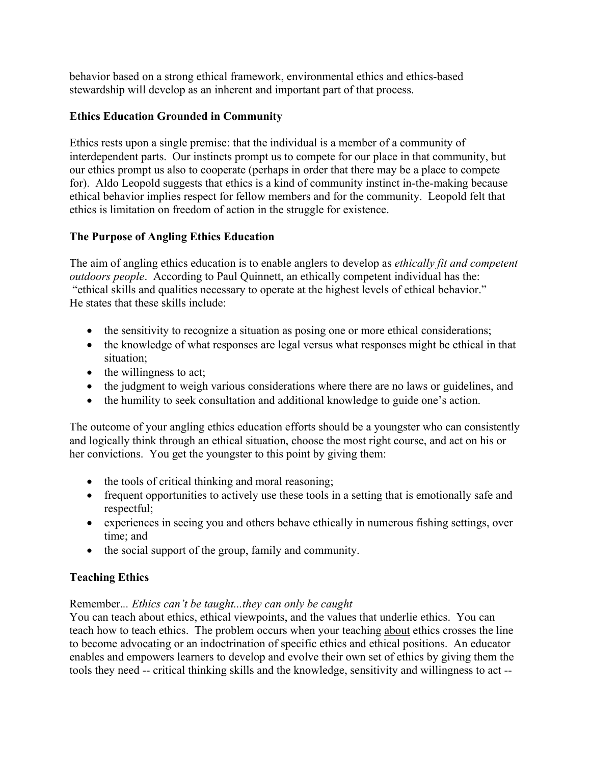behavior based on a strong ethical framework, environmental ethics and ethics-based stewardship will develop as an inherent and important part of that process.

## **Ethics Education Grounded in Community**

Ethics rests upon a single premise: that the individual is a member of a community of interdependent parts. Our instincts prompt us to compete for our place in that community, but our ethics prompt us also to cooperate (perhaps in order that there may be a place to compete for). Aldo Leopold suggests that ethics is a kind of community instinct in-the-making because ethical behavior implies respect for fellow members and for the community. Leopold felt that ethics is limitation on freedom of action in the struggle for existence.

### **The Purpose of Angling Ethics Education**

The aim of angling ethics education is to enable anglers to develop as *ethically fit and competent outdoors people*. According to Paul Quinnett, an ethically competent individual has the: "ethical skills and qualities necessary to operate at the highest levels of ethical behavior." He states that these skills include:

- the sensitivity to recognize a situation as posing one or more ethical considerations;
- the knowledge of what responses are legal versus what responses might be ethical in that situation;
- the willingness to act;
- the judgment to weigh various considerations where there are no laws or guidelines, and
- the humility to seek consultation and additional knowledge to guide one's action.

The outcome of your angling ethics education efforts should be a youngster who can consistently and logically think through an ethical situation, choose the most right course, and act on his or her convictions. You get the youngster to this point by giving them:

- the tools of critical thinking and moral reasoning;
- frequent opportunities to actively use these tools in a setting that is emotionally safe and respectful;
- experiences in seeing you and others behave ethically in numerous fishing settings, over time; and
- the social support of the group, family and community.

# **Teaching Ethics**

### Remember.*.. Ethics can't be taught...they can only be caught*

You can teach about ethics, ethical viewpoints, and the values that underlie ethics. You can teach how to teach ethics. The problem occurs when your teaching about ethics crosses the line to become advocating or an indoctrination of specific ethics and ethical positions. An educator enables and empowers learners to develop and evolve their own set of ethics by giving them the tools they need -- critical thinking skills and the knowledge, sensitivity and willingness to act --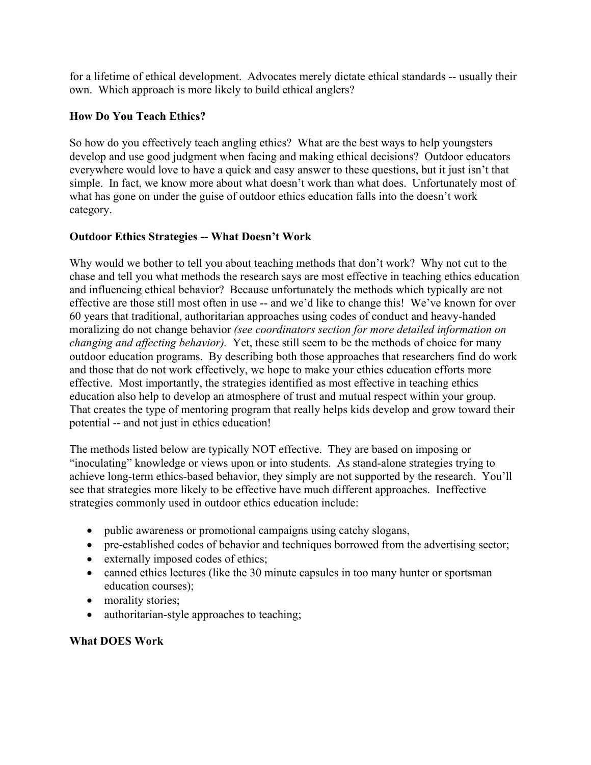for a lifetime of ethical development. Advocates merely dictate ethical standards -- usually their own. Which approach is more likely to build ethical anglers?

## **How Do You Teach Ethics?**

So how do you effectively teach angling ethics? What are the best ways to help youngsters develop and use good judgment when facing and making ethical decisions? Outdoor educators everywhere would love to have a quick and easy answer to these questions, but it just isn't that simple. In fact, we know more about what doesn't work than what does. Unfortunately most of what has gone on under the guise of outdoor ethics education falls into the doesn't work category.

### **Outdoor Ethics Strategies -- What Doesn't Work**

Why would we bother to tell you about teaching methods that don't work? Why not cut to the chase and tell you what methods the research says are most effective in teaching ethics education and influencing ethical behavior? Because unfortunately the methods which typically are not effective are those still most often in use -- and we'd like to change this! We've known for over 60 years that traditional, authoritarian approaches using codes of conduct and heavy-handed moralizing do not change behavior *(see coordinators section for more detailed information on changing and affecting behavior).* Yet, these still seem to be the methods of choice for many outdoor education programs. By describing both those approaches that researchers find do work and those that do not work effectively, we hope to make your ethics education efforts more effective. Most importantly, the strategies identified as most effective in teaching ethics education also help to develop an atmosphere of trust and mutual respect within your group. That creates the type of mentoring program that really helps kids develop and grow toward their potential -- and not just in ethics education!

The methods listed below are typically NOT effective. They are based on imposing or "inoculating" knowledge or views upon or into students. As stand-alone strategies trying to achieve long-term ethics-based behavior, they simply are not supported by the research. You'll see that strategies more likely to be effective have much different approaches. Ineffective strategies commonly used in outdoor ethics education include:

- public awareness or promotional campaigns using catchy slogans,
- pre-established codes of behavior and techniques borrowed from the advertising sector;
- externally imposed codes of ethics;
- canned ethics lectures (like the 30 minute capsules in too many hunter or sportsman education courses);
- morality stories;
- authoritarian-style approaches to teaching;

### **What DOES Work**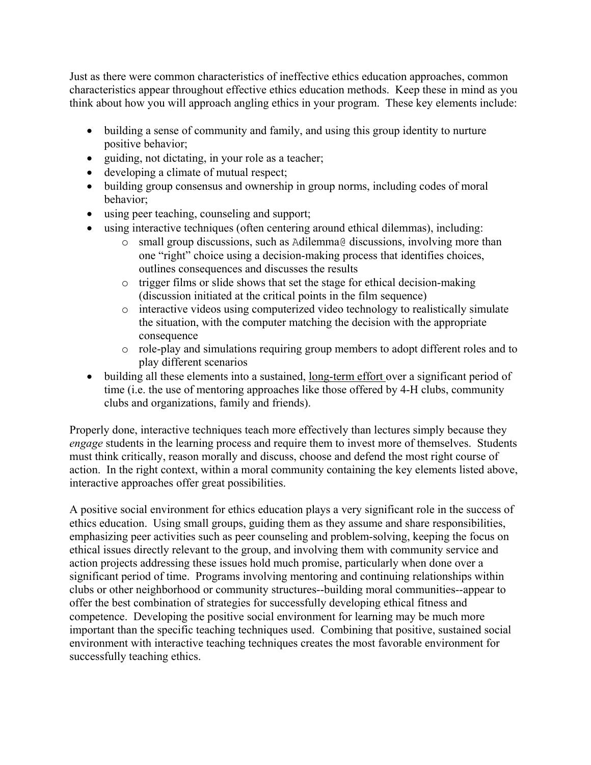Just as there were common characteristics of ineffective ethics education approaches, common characteristics appear throughout effective ethics education methods. Keep these in mind as you think about how you will approach angling ethics in your program. These key elements include:

- building a sense of community and family, and using this group identity to nurture positive behavior;
- guiding, not dictating, in your role as a teacher;
- developing a climate of mutual respect;
- building group consensus and ownership in group norms, including codes of moral behavior;
- using peer teaching, counseling and support;
- using interactive techniques (often centering around ethical dilemmas), including:
	- o small group discussions, such as Adilemma@ discussions, involving more than one "right" choice using a decision-making process that identifies choices, outlines consequences and discusses the results
	- o trigger films or slide shows that set the stage for ethical decision-making (discussion initiated at the critical points in the film sequence)
	- o interactive videos using computerized video technology to realistically simulate the situation, with the computer matching the decision with the appropriate consequence
	- $\circ$  role-play and simulations requiring group members to adopt different roles and to play different scenarios
- building all these elements into a sustained, long-term effort over a significant period of time (i.e. the use of mentoring approaches like those offered by 4-H clubs, community clubs and organizations, family and friends).

Properly done, interactive techniques teach more effectively than lectures simply because they *engage* students in the learning process and require them to invest more of themselves. Students must think critically, reason morally and discuss, choose and defend the most right course of action. In the right context, within a moral community containing the key elements listed above, interactive approaches offer great possibilities.

A positive social environment for ethics education plays a very significant role in the success of ethics education. Using small groups, guiding them as they assume and share responsibilities, emphasizing peer activities such as peer counseling and problem-solving, keeping the focus on ethical issues directly relevant to the group, and involving them with community service and action projects addressing these issues hold much promise, particularly when done over a significant period of time. Programs involving mentoring and continuing relationships within clubs or other neighborhood or community structures--building moral communities--appear to offer the best combination of strategies for successfully developing ethical fitness and competence. Developing the positive social environment for learning may be much more important than the specific teaching techniques used. Combining that positive, sustained social environment with interactive teaching techniques creates the most favorable environment for successfully teaching ethics.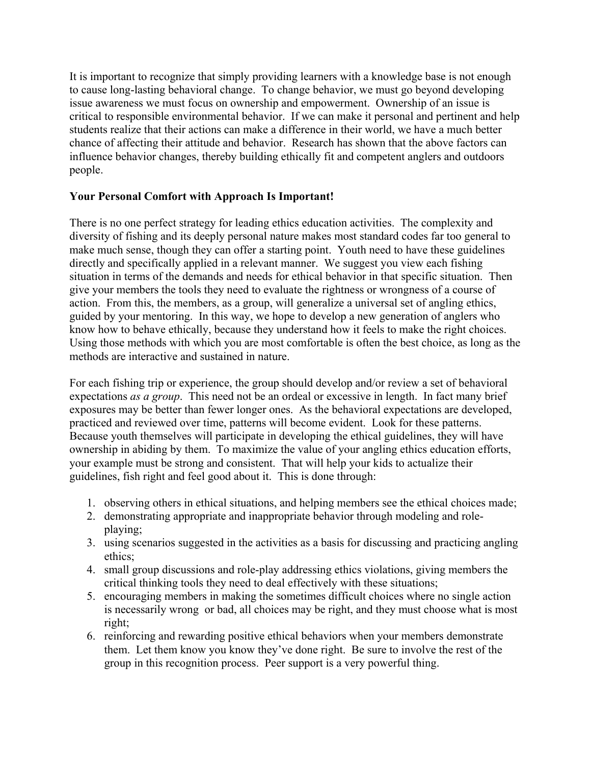It is important to recognize that simply providing learners with a knowledge base is not enough to cause long-lasting behavioral change. To change behavior, we must go beyond developing issue awareness we must focus on ownership and empowerment. Ownership of an issue is critical to responsible environmental behavior. If we can make it personal and pertinent and help students realize that their actions can make a difference in their world, we have a much better chance of affecting their attitude and behavior. Research has shown that the above factors can influence behavior changes, thereby building ethically fit and competent anglers and outdoors people.

### **Your Personal Comfort with Approach Is Important!**

There is no one perfect strategy for leading ethics education activities. The complexity and diversity of fishing and its deeply personal nature makes most standard codes far too general to make much sense, though they can offer a starting point. Youth need to have these guidelines directly and specifically applied in a relevant manner. We suggest you view each fishing situation in terms of the demands and needs for ethical behavior in that specific situation. Then give your members the tools they need to evaluate the rightness or wrongness of a course of action. From this, the members, as a group, will generalize a universal set of angling ethics, guided by your mentoring. In this way, we hope to develop a new generation of anglers who know how to behave ethically, because they understand how it feels to make the right choices. Using those methods with which you are most comfortable is often the best choice, as long as the methods are interactive and sustained in nature.

For each fishing trip or experience, the group should develop and/or review a set of behavioral expectations *as a group*. This need not be an ordeal or excessive in length. In fact many brief exposures may be better than fewer longer ones. As the behavioral expectations are developed, practiced and reviewed over time, patterns will become evident. Look for these patterns. Because youth themselves will participate in developing the ethical guidelines, they will have ownership in abiding by them. To maximize the value of your angling ethics education efforts, your example must be strong and consistent. That will help your kids to actualize their guidelines, fish right and feel good about it. This is done through:

- 1. observing others in ethical situations, and helping members see the ethical choices made;
- 2. demonstrating appropriate and inappropriate behavior through modeling and roleplaying;
- 3. using scenarios suggested in the activities as a basis for discussing and practicing angling ethics;
- 4. small group discussions and role-play addressing ethics violations, giving members the critical thinking tools they need to deal effectively with these situations;
- 5. encouraging members in making the sometimes difficult choices where no single action is necessarily wrong or bad, all choices may be right, and they must choose what is most right;
- 6. reinforcing and rewarding positive ethical behaviors when your members demonstrate them. Let them know you know they've done right. Be sure to involve the rest of the group in this recognition process. Peer support is a very powerful thing.